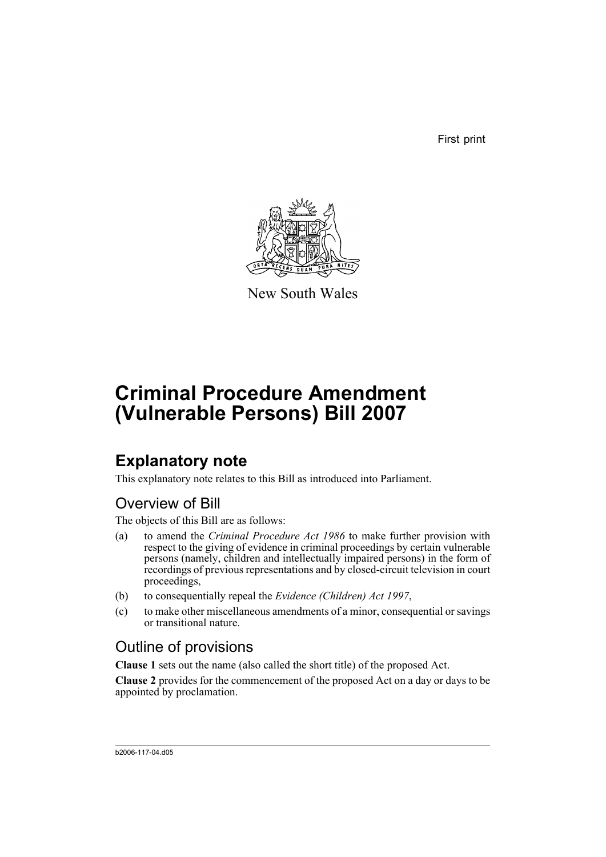First print



New South Wales

# **Criminal Procedure Amendment (Vulnerable Persons) Bill 2007**

## **Explanatory note**

This explanatory note relates to this Bill as introduced into Parliament.

## Overview of Bill

The objects of this Bill are as follows:

- (a) to amend the *Criminal Procedure Act 1986* to make further provision with respect to the giving of evidence in criminal proceedings by certain vulnerable persons (namely, children and intellectually impaired persons) in the form of recordings of previous representations and by closed-circuit television in court proceedings,
- (b) to consequentially repeal the *Evidence (Children) Act 1997*,
- (c) to make other miscellaneous amendments of a minor, consequential or savings or transitional nature.

## Outline of provisions

**Clause 1** sets out the name (also called the short title) of the proposed Act.

**Clause 2** provides for the commencement of the proposed Act on a day or days to be appointed by proclamation.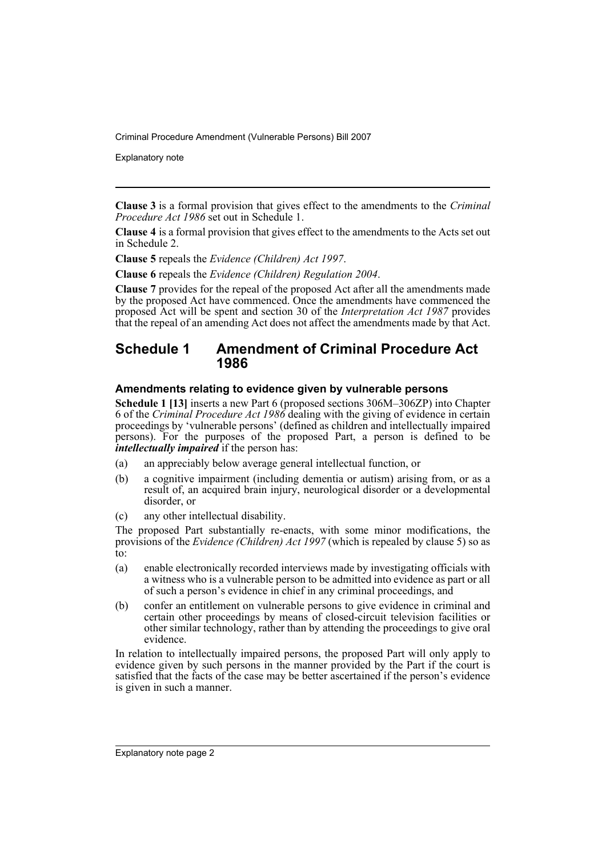Explanatory note

**Clause 3** is a formal provision that gives effect to the amendments to the *Criminal Procedure Act 1986* set out in Schedule 1.

**Clause 4** is a formal provision that gives effect to the amendments to the Acts set out in Schedule 2.

**Clause 5** repeals the *Evidence (Children) Act 1997*.

**Clause 6** repeals the *Evidence (Children) Regulation 2004*.

**Clause 7** provides for the repeal of the proposed Act after all the amendments made by the proposed Act have commenced. Once the amendments have commenced the proposed Act will be spent and section 30 of the *Interpretation Act 1987* provides that the repeal of an amending Act does not affect the amendments made by that Act.

### **Schedule 1 Amendment of Criminal Procedure Act 1986**

#### **Amendments relating to evidence given by vulnerable persons**

**Schedule 1 [13]** inserts a new Part 6 (proposed sections 306M–306ZP) into Chapter 6 of the *Criminal Procedure Act 1986* dealing with the giving of evidence in certain proceedings by 'vulnerable persons' (defined as children and intellectually impaired persons). For the purposes of the proposed Part, a person is defined to be *intellectually impaired* if the person has:

- (a) an appreciably below average general intellectual function, or
- (b) a cognitive impairment (including dementia or autism) arising from, or as a result of, an acquired brain injury, neurological disorder or a developmental disorder, or
- (c) any other intellectual disability.

The proposed Part substantially re-enacts, with some minor modifications, the provisions of the *Evidence (Children) Act 1997* (which is repealed by clause 5) so as  $\overline{t}$ o:

- (a) enable electronically recorded interviews made by investigating officials with a witness who is a vulnerable person to be admitted into evidence as part or all of such a person's evidence in chief in any criminal proceedings, and
- (b) confer an entitlement on vulnerable persons to give evidence in criminal and certain other proceedings by means of closed-circuit television facilities or other similar technology, rather than by attending the proceedings to give oral evidence.

In relation to intellectually impaired persons, the proposed Part will only apply to evidence given by such persons in the manner provided by the Part if the court is satisfied that the facts of the case may be better ascertained if the person's evidence is given in such a manner.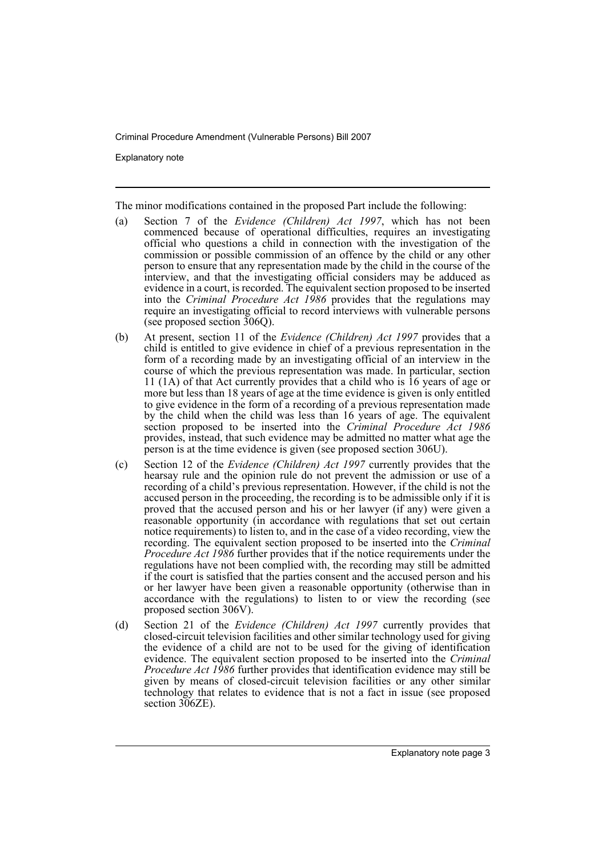Explanatory note

The minor modifications contained in the proposed Part include the following:

- (a) Section 7 of the *Evidence (Children) Act 1997*, which has not been commenced because of operational difficulties, requires an investigating official who questions a child in connection with the investigation of the commission or possible commission of an offence by the child or any other person to ensure that any representation made by the child in the course of the interview, and that the investigating official considers may be adduced as evidence in a court, is recorded. The equivalent section proposed to be inserted into the *Criminal Procedure Act 1986* provides that the regulations may require an investigating official to record interviews with vulnerable persons (see proposed section 306Q).
- (b) At present, section 11 of the *Evidence (Children) Act 1997* provides that a child is entitled to give evidence in chief of a previous representation in the form of a recording made by an investigating official of an interview in the course of which the previous representation was made. In particular, section 11 (1A) of that Act currently provides that a child who is 16 years of age or more but less than 18 years of age at the time evidence is given is only entitled to give evidence in the form of a recording of a previous representation made by the child when the child was less than 16 years of age. The equivalent section proposed to be inserted into the *Criminal Procedure Act 1986* provides, instead, that such evidence may be admitted no matter what age the person is at the time evidence is given (see proposed section 306U).
- (c) Section 12 of the *Evidence (Children) Act 1997* currently provides that the hearsay rule and the opinion rule do not prevent the admission or use of a recording of a child's previous representation. However, if the child is not the accused person in the proceeding, the recording is to be admissible only if it is proved that the accused person and his or her lawyer (if any) were given a reasonable opportunity (in accordance with regulations that set out certain notice requirements) to listen to, and in the case of a video recording, view the recording. The equivalent section proposed to be inserted into the *Criminal Procedure Act 1986* further provides that if the notice requirements under the regulations have not been complied with, the recording may still be admitted if the court is satisfied that the parties consent and the accused person and his or her lawyer have been given a reasonable opportunity (otherwise than in accordance with the regulations) to listen to or view the recording (see proposed section 306V).
- (d) Section 21 of the *Evidence (Children) Act 1997* currently provides that closed-circuit television facilities and other similar technology used for giving the evidence of a child are not to be used for the giving of identification evidence. The equivalent section proposed to be inserted into the *Criminal Procedure Act 1986* further provides that identification evidence may still be given by means of closed-circuit television facilities or any other similar technology that relates to evidence that is not a fact in issue (see proposed section 306ZE).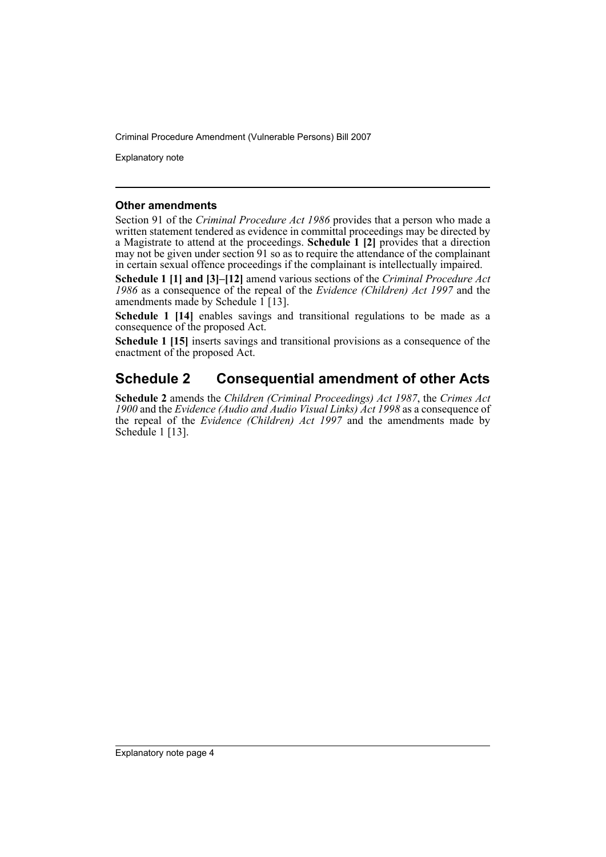Explanatory note

#### **Other amendments**

Section 91 of the *Criminal Procedure Act 1986* provides that a person who made a written statement tendered as evidence in committal proceedings may be directed by a Magistrate to attend at the proceedings. **Schedule 1 [2]** provides that a direction may not be given under section 91 so as to require the attendance of the complainant in certain sexual offence proceedings if the complainant is intellectually impaired.

**Schedule 1 [1] and [3]–[12]** amend various sections of the *Criminal Procedure Act 1986* as a consequence of the repeal of the *Evidence (Children) Act 1997* and the amendments made by Schedule  $1$  [13].

Schedule 1 [14] enables savings and transitional regulations to be made as a consequence of the proposed Act.

**Schedule 1 [15]** inserts savings and transitional provisions as a consequence of the enactment of the proposed Act.

## **Schedule 2 Consequential amendment of other Acts**

**Schedule 2** amends the *Children (Criminal Proceedings) Act 1987*, the *Crimes Act 1900* and the *Evidence (Audio and Audio Visual Links) Act 1998* as a consequence of the repeal of the *Evidence (Children) Act 1997* and the amendments made by Schedule 1 [13].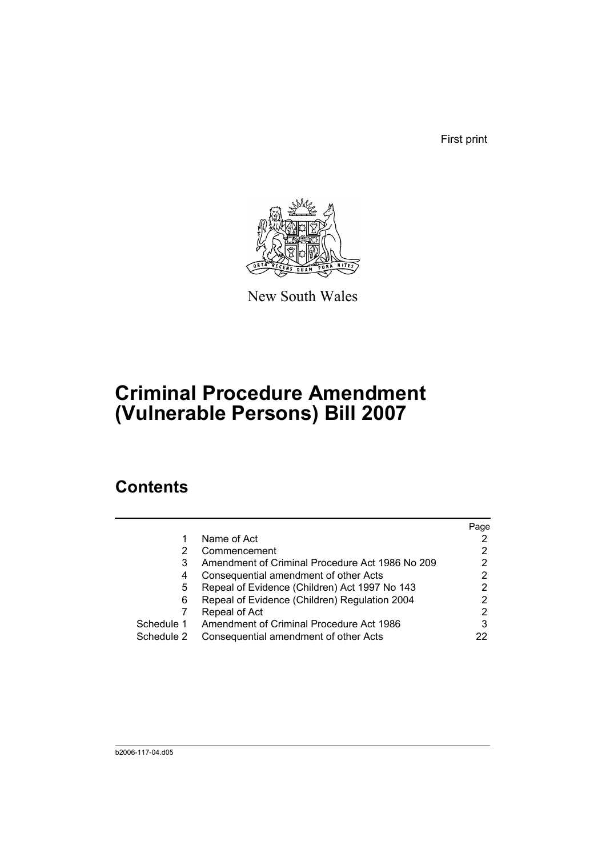First print



New South Wales

# **Criminal Procedure Amendment (Vulnerable Persons) Bill 2007**

## **Contents**

|            |                                                 | Page |
|------------|-------------------------------------------------|------|
|            | Name of Act                                     |      |
|            | Commencement                                    | 2    |
| 3          | Amendment of Criminal Procedure Act 1986 No 209 |      |
| 4          | Consequential amendment of other Acts           | 2    |
| 5          | Repeal of Evidence (Children) Act 1997 No 143   | 2    |
| 6          | Repeal of Evidence (Children) Regulation 2004   |      |
|            | Repeal of Act                                   | 2    |
| Schedule 1 | Amendment of Criminal Procedure Act 1986        | 3    |
| Schedule 2 | Consequential amendment of other Acts           |      |
|            |                                                 |      |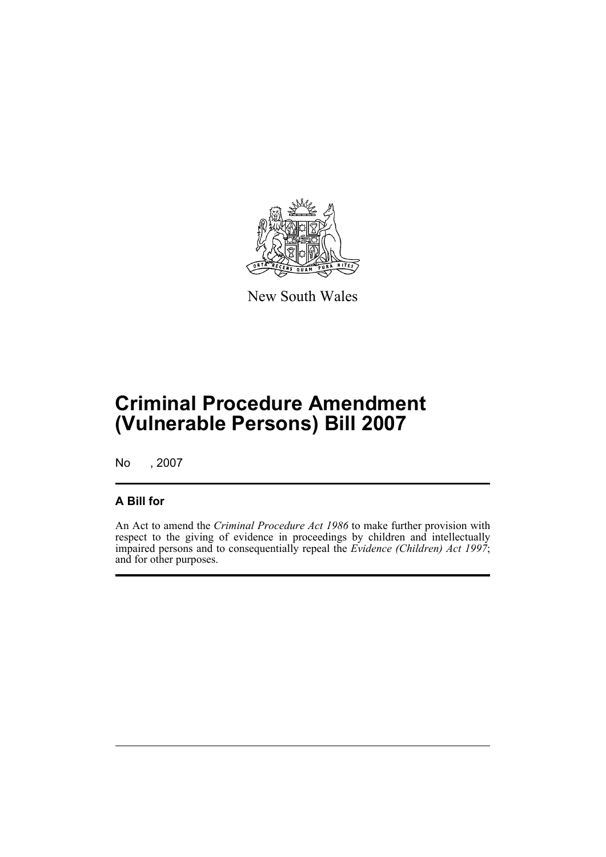

New South Wales

# **Criminal Procedure Amendment (Vulnerable Persons) Bill 2007**

No , 2007

### **A Bill for**

An Act to amend the *Criminal Procedure Act 1986* to make further provision with respect to the giving of evidence in proceedings by children and intellectually impaired persons and to consequentially repeal the *Evidence (Children) Act 1997*; and for other purposes.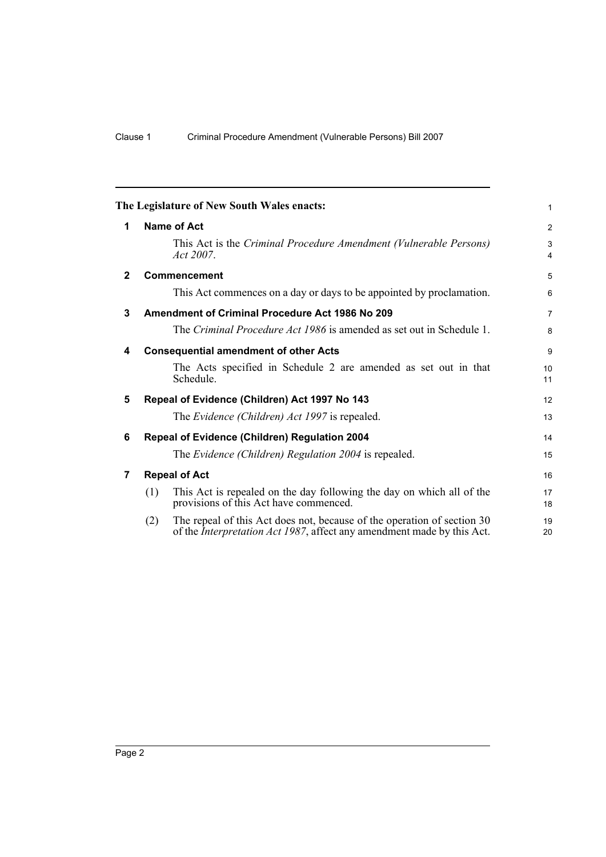<span id="page-7-6"></span><span id="page-7-5"></span><span id="page-7-4"></span><span id="page-7-3"></span><span id="page-7-2"></span><span id="page-7-1"></span><span id="page-7-0"></span>

|              | The Legislature of New South Wales enacts:                                                                                                                       | $\mathbf{1}$                 |  |  |  |  |
|--------------|------------------------------------------------------------------------------------------------------------------------------------------------------------------|------------------------------|--|--|--|--|
| 1            | <b>Name of Act</b>                                                                                                                                               |                              |  |  |  |  |
|              | This Act is the Criminal Procedure Amendment (Vulnerable Persons)<br>Act 2007.                                                                                   | 3<br>$\overline{\mathbf{4}}$ |  |  |  |  |
| $\mathbf{2}$ | <b>Commencement</b>                                                                                                                                              | 5                            |  |  |  |  |
|              | This Act commences on a day or days to be appointed by proclamation.                                                                                             | 6                            |  |  |  |  |
| 3            | <b>Amendment of Criminal Procedure Act 1986 No 209</b>                                                                                                           | $\overline{7}$               |  |  |  |  |
|              | The Criminal Procedure Act 1986 is amended as set out in Schedule 1.                                                                                             | 8                            |  |  |  |  |
| 4            | <b>Consequential amendment of other Acts</b>                                                                                                                     | 9                            |  |  |  |  |
|              | The Acts specified in Schedule 2 are amended as set out in that<br>Schedule.                                                                                     | 10<br>11                     |  |  |  |  |
| 5            | Repeal of Evidence (Children) Act 1997 No 143                                                                                                                    | 12                           |  |  |  |  |
|              | The Evidence (Children) Act 1997 is repealed.                                                                                                                    | 13                           |  |  |  |  |
| 6            | Repeal of Evidence (Children) Regulation 2004                                                                                                                    | 14                           |  |  |  |  |
|              | The Evidence (Children) Regulation 2004 is repealed.                                                                                                             | 15                           |  |  |  |  |
| 7            | <b>Repeal of Act</b>                                                                                                                                             | 16                           |  |  |  |  |
|              | This Act is repealed on the day following the day on which all of the<br>(1)<br>provisions of this Act have commenced.                                           | 17<br>18                     |  |  |  |  |
|              | The repeal of this Act does not, because of the operation of section 30<br>(2)<br>of the <i>Interpretation Act 1987</i> , affect any amendment made by this Act. | 19<br>20                     |  |  |  |  |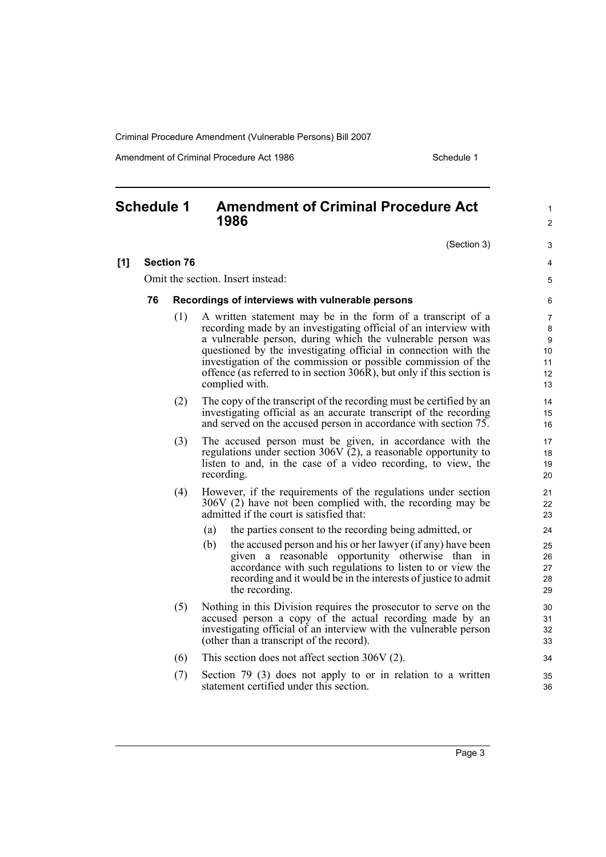Amendment of Criminal Procedure Act 1986 Schedule 1

### <span id="page-8-0"></span>**Schedule 1 Amendment of Criminal Procedure Act 1986**

(Section 3)

1  $\mathfrak{p}$ 

3 4 5

#### **[1] Section 76**

Omit the section. Insert instead:

#### **76 Recordings of interviews with vulnerable persons**

- (1) A written statement may be in the form of a transcript of a recording made by an investigating official of an interview with a vulnerable person, during which the vulnerable person was questioned by the investigating official in connection with the investigation of the commission or possible commission of the offence (as referred to in section 306R), but only if this section is complied with.
- (2) The copy of the transcript of the recording must be certified by an investigating official as an accurate transcript of the recording and served on the accused person in accordance with section 75.
- (3) The accused person must be given, in accordance with the regulations under section 306V  $\check{c}$ 2), a reasonable opportunity to listen to and, in the case of a video recording, to view, the recording.
- (4) However, if the requirements of the regulations under section 306V (2) have not been complied with, the recording may be admitted if the court is satisfied that:
	- (a) the parties consent to the recording being admitted, or
	- (b) the accused person and his or her lawyer (if any) have been given a reasonable opportunity otherwise than in accordance with such regulations to listen to or view the recording and it would be in the interests of justice to admit the recording.
- (5) Nothing in this Division requires the prosecutor to serve on the accused person a copy of the actual recording made by an investigating official of an interview with the vulnerable person (other than a transcript of the record).
- (6) This section does not affect section 306V (2).
- (7) Section 79 (3) does not apply to or in relation to a written statement certified under this section.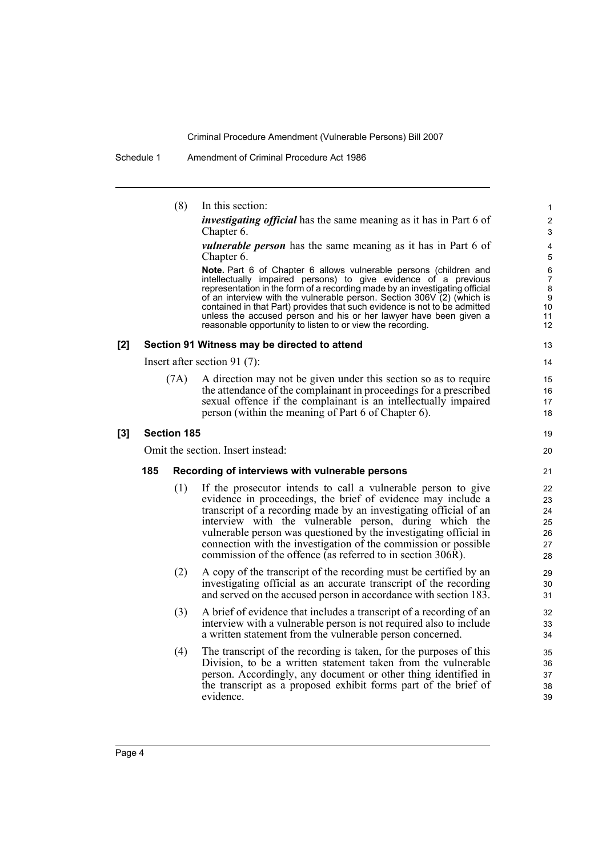Schedule 1 Amendment of Criminal Procedure Act 1986

|     |     | (8)                | In this section:                                                                                                                                                                                                                                                                                                                                                                                                                                                                                              | 1                                                                                           |
|-----|-----|--------------------|---------------------------------------------------------------------------------------------------------------------------------------------------------------------------------------------------------------------------------------------------------------------------------------------------------------------------------------------------------------------------------------------------------------------------------------------------------------------------------------------------------------|---------------------------------------------------------------------------------------------|
|     |     |                    | <i>investigating official</i> has the same meaning as it has in Part 6 of<br>Chapter 6.                                                                                                                                                                                                                                                                                                                                                                                                                       | $\overline{2}$<br>3                                                                         |
|     |     |                    | <i>vulnerable person</i> has the same meaning as it has in Part 6 of<br>Chapter 6.                                                                                                                                                                                                                                                                                                                                                                                                                            | 4<br>5                                                                                      |
|     |     |                    | Note. Part 6 of Chapter 6 allows vulnerable persons (children and<br>intellectually impaired persons) to give evidence of a previous<br>representation in the form of a recording made by an investigating official<br>of an interview with the vulnerable person. Section 306V (2) (which is<br>contained in that Part) provides that such evidence is not to be admitted<br>unless the accused person and his or her lawyer have been given a<br>reasonable opportunity to listen to or view the recording. | $\,6$<br>$\overline{\mathcal{I}}$<br>8<br>$\boldsymbol{9}$<br>10<br>11<br>$12 \overline{ }$ |
| [2] |     |                    | Section 91 Witness may be directed to attend                                                                                                                                                                                                                                                                                                                                                                                                                                                                  | 13                                                                                          |
|     |     |                    | Insert after section 91 $(7)$ :                                                                                                                                                                                                                                                                                                                                                                                                                                                                               | 14                                                                                          |
|     |     | (7A)               | A direction may not be given under this section so as to require<br>the attendance of the complainant in proceedings for a prescribed<br>sexual offence if the complainant is an intellectually impaired<br>person (within the meaning of Part 6 of Chapter 6).                                                                                                                                                                                                                                               | 15<br>16<br>17<br>18                                                                        |
| [3] |     | <b>Section 185</b> |                                                                                                                                                                                                                                                                                                                                                                                                                                                                                                               | 19                                                                                          |
|     |     |                    | Omit the section. Insert instead:                                                                                                                                                                                                                                                                                                                                                                                                                                                                             | 20                                                                                          |
|     | 185 |                    | Recording of interviews with vulnerable persons                                                                                                                                                                                                                                                                                                                                                                                                                                                               | 21                                                                                          |
|     |     | (1)                | If the prosecutor intends to call a vulnerable person to give<br>evidence in proceedings, the brief of evidence may include a<br>transcript of a recording made by an investigating official of an<br>interview with the vulnerable person, during which the<br>vulnerable person was questioned by the investigating official in<br>connection with the investigation of the commission or possible<br>commission of the offence (as referred to in section 306R).                                           | 22<br>23<br>24<br>25<br>26<br>27<br>28                                                      |
|     |     | (2)                | A copy of the transcript of the recording must be certified by an<br>investigating official as an accurate transcript of the recording<br>and served on the accused person in accordance with section 183.                                                                                                                                                                                                                                                                                                    | 29<br>30<br>31                                                                              |
|     |     | (3)                | A brief of evidence that includes a transcript of a recording of an<br>interview with a vulnerable person is not required also to include<br>a written statement from the vulnerable person concerned.                                                                                                                                                                                                                                                                                                        | 32<br>33<br>34                                                                              |
|     |     | (4)                | The transcript of the recording is taken, for the purposes of this<br>Division, to be a written statement taken from the vulnerable<br>person. Accordingly, any document or other thing identified in<br>the transcript as a proposed exhibit forms part of the brief of<br>evidence.                                                                                                                                                                                                                         | 35<br>36<br>37<br>38<br>39                                                                  |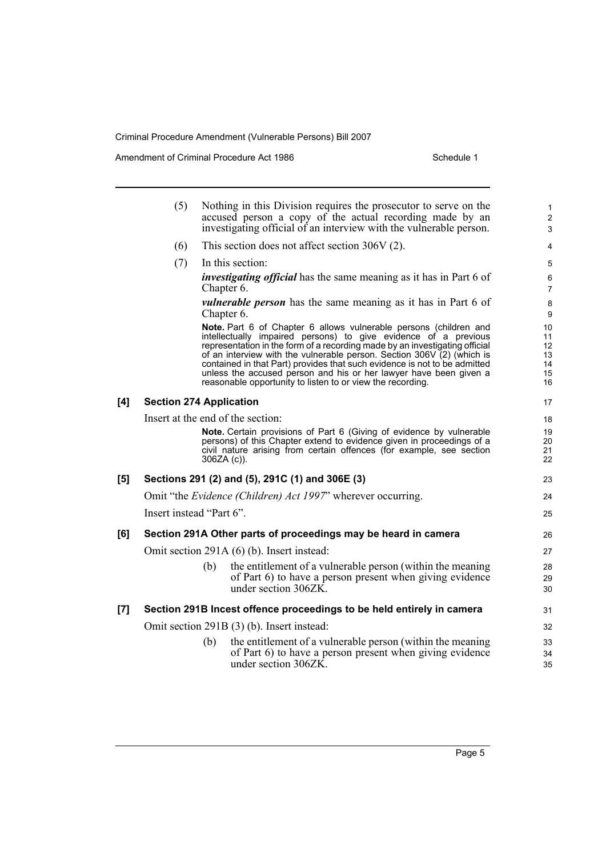Amendment of Criminal Procedure Act 1986 Schedule 1

|     | (5)                               |               | Nothing in this Division requires the prosecutor to serve on the<br>accused person a copy of the actual recording made by an<br>investigating official of an interview with the vulnerable person.                                                                                                                                                                                                                                                                                                            | 1<br>$\overline{2}$<br>3                              |
|-----|-----------------------------------|---------------|---------------------------------------------------------------------------------------------------------------------------------------------------------------------------------------------------------------------------------------------------------------------------------------------------------------------------------------------------------------------------------------------------------------------------------------------------------------------------------------------------------------|-------------------------------------------------------|
|     | (6)                               |               | This section does not affect section $306V(2)$ .                                                                                                                                                                                                                                                                                                                                                                                                                                                              |                                                       |
|     |                                   |               |                                                                                                                                                                                                                                                                                                                                                                                                                                                                                                               | $\overline{4}$                                        |
|     | (7)                               |               | In this section:                                                                                                                                                                                                                                                                                                                                                                                                                                                                                              | 5                                                     |
|     |                                   | Chapter 6.    | <i>investigating official</i> has the same meaning as it has in Part 6 of                                                                                                                                                                                                                                                                                                                                                                                                                                     | 6<br>$\overline{7}$                                   |
|     |                                   | Chapter 6.    | <i>vulnerable person</i> has the same meaning as it has in Part 6 of                                                                                                                                                                                                                                                                                                                                                                                                                                          | $\bf 8$<br>9                                          |
|     |                                   |               | Note. Part 6 of Chapter 6 allows vulnerable persons (children and<br>intellectually impaired persons) to give evidence of a previous<br>representation in the form of a recording made by an investigating official<br>of an interview with the vulnerable person. Section 306V (2) (which is<br>contained in that Part) provides that such evidence is not to be admitted<br>unless the accused person and his or her lawyer have been given a<br>reasonable opportunity to listen to or view the recording. | 10<br>11<br>$12 \overline{ }$<br>13<br>14<br>15<br>16 |
| [4] | <b>Section 274 Application</b>    |               |                                                                                                                                                                                                                                                                                                                                                                                                                                                                                                               | 17                                                    |
|     | Insert at the end of the section: |               |                                                                                                                                                                                                                                                                                                                                                                                                                                                                                                               | 18                                                    |
|     |                                   | $306ZA(c)$ ). | Note. Certain provisions of Part 6 (Giving of evidence by vulnerable<br>persons) of this Chapter extend to evidence given in proceedings of a<br>civil nature arising from certain offences (for example, see section                                                                                                                                                                                                                                                                                         | 19<br>20<br>21<br>22                                  |
| [5] |                                   |               | Sections 291 (2) and (5), 291C (1) and 306E (3)                                                                                                                                                                                                                                                                                                                                                                                                                                                               | 23                                                    |
|     |                                   |               | Omit "the <i>Evidence (Children) Act 1997</i> " wherever occurring.                                                                                                                                                                                                                                                                                                                                                                                                                                           | 24                                                    |
|     | Insert instead "Part 6".          |               |                                                                                                                                                                                                                                                                                                                                                                                                                                                                                                               | 25                                                    |
| [6] |                                   |               | Section 291A Other parts of proceedings may be heard in camera                                                                                                                                                                                                                                                                                                                                                                                                                                                | 26                                                    |
|     |                                   |               | Omit section 291A (6) (b). Insert instead:                                                                                                                                                                                                                                                                                                                                                                                                                                                                    | 27                                                    |
|     |                                   | (b)           | the entitlement of a vulnerable person (within the meaning<br>of Part 6) to have a person present when giving evidence<br>under section 306ZK.                                                                                                                                                                                                                                                                                                                                                                | 28<br>29<br>30                                        |
| [7] |                                   |               | Section 291B Incest offence proceedings to be held entirely in camera                                                                                                                                                                                                                                                                                                                                                                                                                                         | 31                                                    |
|     |                                   |               | Omit section 291B (3) (b). Insert instead:                                                                                                                                                                                                                                                                                                                                                                                                                                                                    | 32                                                    |
|     |                                   | (b)           | the entitlement of a vulnerable person (within the meaning<br>of Part 6) to have a person present when giving evidence<br>under section 306ZK.                                                                                                                                                                                                                                                                                                                                                                | 33<br>34<br>35                                        |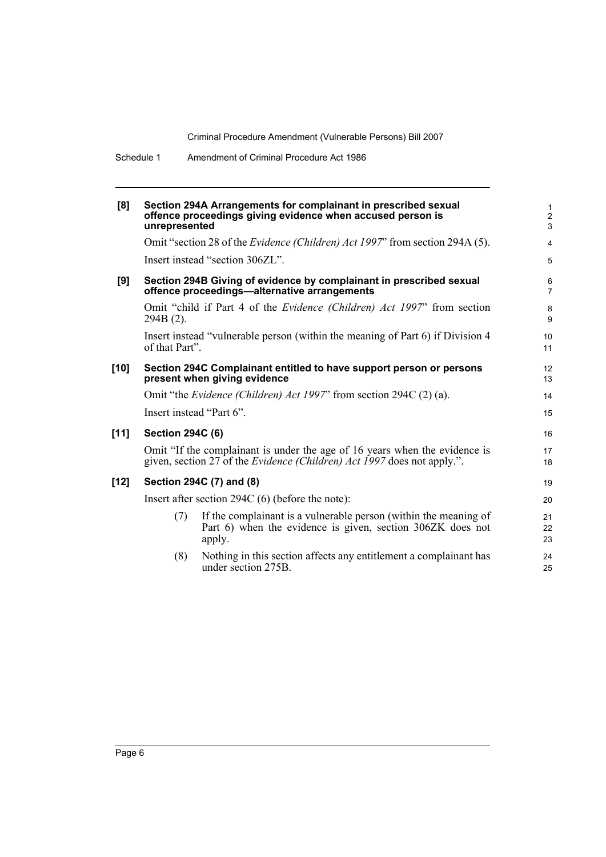| [8]  | unrepresented           | Section 294A Arrangements for complainant in prescribed sexual<br>offence proceedings giving evidence when accused person is                                 | $\mathbf{1}$<br>$\overline{2}$<br>$\mathbf{3}$ |
|------|-------------------------|--------------------------------------------------------------------------------------------------------------------------------------------------------------|------------------------------------------------|
|      |                         | Omit "section 28 of the <i>Evidence (Children) Act 1997</i> " from section 294A (5).                                                                         | $\overline{4}$                                 |
|      |                         | Insert instead "section 306ZL".                                                                                                                              | 5                                              |
| [9]  |                         | Section 294B Giving of evidence by complainant in prescribed sexual<br>offence proceedings—alternative arrangements                                          | 6<br>$\overline{7}$                            |
|      | 294B (2).               | Omit "child if Part 4 of the <i>Evidence (Children) Act 1997</i> " from section                                                                              | 8<br>9                                         |
|      | of that Part".          | Insert instead "vulnerable person (within the meaning of Part 6) if Division 4                                                                               | 10<br>11                                       |
| [10] |                         | Section 294C Complainant entitled to have support person or persons<br>present when giving evidence                                                          | 12<br>13                                       |
|      |                         | Omit "the Evidence (Children) Act 1997" from section 294C (2) (a).                                                                                           | 14                                             |
|      |                         | Insert instead "Part 6".                                                                                                                                     | 15                                             |
| [11] | <b>Section 294C (6)</b> |                                                                                                                                                              | 16                                             |
|      |                         | Omit "If the complainant is under the age of 16 years when the evidence is<br>given, section 27 of the <i>Evidence (Children) Act 1997</i> does not apply.". | 17<br>18                                       |
| [12] |                         | Section 294C (7) and (8)                                                                                                                                     | 19                                             |
|      |                         | Insert after section 294C $(6)$ (before the note):                                                                                                           | 20                                             |
|      | (7)                     | If the complainant is a vulnerable person (within the meaning of<br>Part 6) when the evidence is given, section 306ZK does not<br>apply.                     | 21<br>22<br>23                                 |
|      | (8)                     | Nothing in this section affects any entitlement a complainant has<br>under section 275B.                                                                     | 24<br>25                                       |
|      |                         |                                                                                                                                                              |                                                |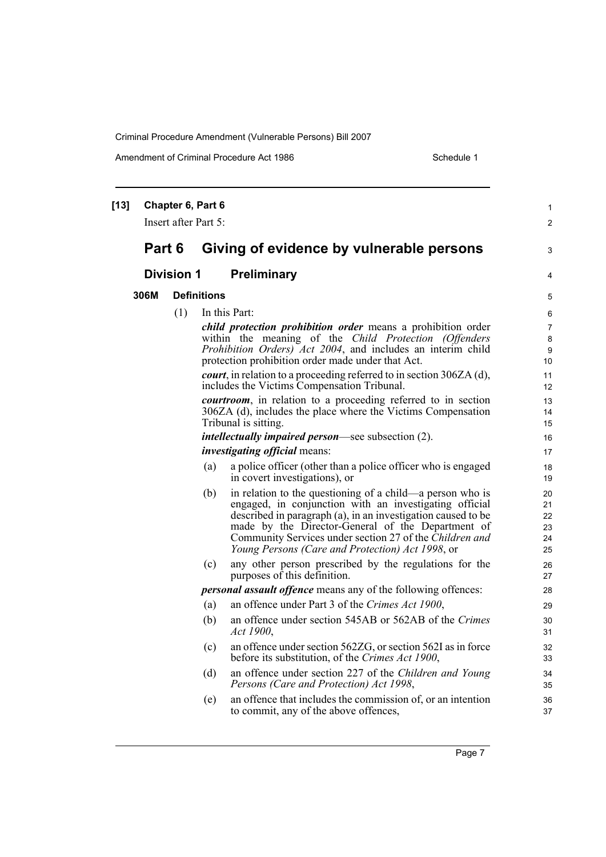Amendment of Criminal Procedure Act 1986 Schedule 1

| $[13]$ |        | Chapter 6, Part 6<br>Insert after Part 5: |                    |                                                                                                                        | $\mathbf{1}$   |
|--------|--------|-------------------------------------------|--------------------|------------------------------------------------------------------------------------------------------------------------|----------------|
|        |        |                                           |                    |                                                                                                                        | $\overline{2}$ |
|        | Part 6 |                                           |                    | Giving of evidence by vulnerable persons                                                                               | 3              |
|        |        | <b>Division 1</b>                         |                    | <b>Preliminary</b>                                                                                                     | 4              |
|        | 306M   |                                           | <b>Definitions</b> |                                                                                                                        | 5              |
|        |        | (1)                                       |                    | In this Part:                                                                                                          | 6              |
|        |        |                                           |                    | child protection prohibition order means a prohibition order                                                           | 7              |
|        |        |                                           |                    | within the meaning of the Child Protection (Offenders                                                                  | 8              |
|        |        |                                           |                    | Prohibition Orders) Act 2004, and includes an interim child<br>protection prohibition order made under that Act.       | 9<br>10        |
|        |        |                                           |                    | <i>court</i> , in relation to a proceeding referred to in section 306ZA (d),                                           | 11             |
|        |        |                                           |                    | includes the Victims Compensation Tribunal.                                                                            | 12             |
|        |        |                                           |                    | <i>courtroom</i> , in relation to a proceeding referred to in section                                                  | 13             |
|        |        |                                           |                    | 306ZA (d), includes the place where the Victims Compensation                                                           | 14             |
|        |        |                                           |                    | Tribunal is sitting.                                                                                                   | 15             |
|        |        |                                           |                    | <i>intellectually impaired person</i> —see subsection (2).                                                             | 16             |
|        |        |                                           |                    | <i>investigating official</i> means:                                                                                   | 17             |
|        |        |                                           | (a)                | a police officer (other than a police officer who is engaged<br>in covert investigations), or                          | 18<br>19       |
|        |        |                                           | (b)                | in relation to the questioning of a child—a person who is                                                              | 20             |
|        |        |                                           |                    | engaged, in conjunction with an investigating official<br>described in paragraph (a), in an investigation caused to be | 21<br>22       |
|        |        |                                           |                    | made by the Director-General of the Department of                                                                      | 23             |
|        |        |                                           |                    | Community Services under section 27 of the Children and                                                                | 24             |
|        |        |                                           |                    | Young Persons (Care and Protection) Act 1998, or                                                                       | 25             |
|        |        |                                           | (c)                | any other person prescribed by the regulations for the<br>purposes of this definition.                                 | 26<br>27       |
|        |        |                                           |                    | <i>personal assault offence</i> means any of the following offences:                                                   | 28             |
|        |        |                                           | (a)                | an offence under Part 3 of the Crimes Act 1900,                                                                        | 29             |
|        |        |                                           | (b)                | an offence under section 545AB or 562AB of the Crimes<br>Act 1900,                                                     | 30<br>31       |
|        |        |                                           | (c)                | an offence under section 562ZG, or section 562I as in force<br>before its substitution, of the Crimes Act 1900,        | 32<br>33       |
|        |        |                                           | (d)                | an offence under section 227 of the Children and Young<br>Persons (Care and Protection) Act 1998,                      | 34<br>35       |
|        |        |                                           | (e)                | an offence that includes the commission of, or an intention<br>to commit, any of the above offences,                   | 36<br>37       |
|        |        |                                           |                    |                                                                                                                        |                |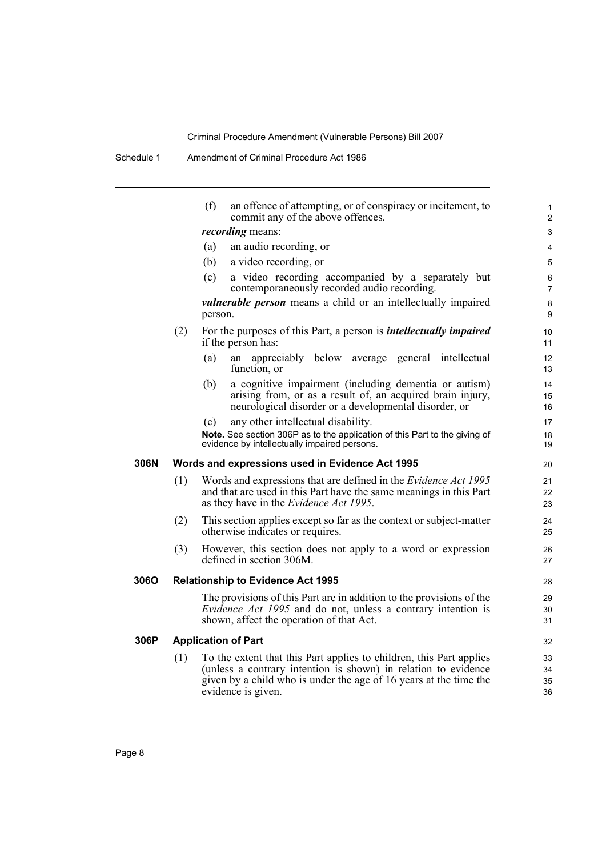|      |     | (f)<br>an offence of attempting, or of conspiracy or incitement, to<br>commit any of the above offences.                                                                                                                         | $\mathbf{1}$<br>$\overline{2}$ |
|------|-----|----------------------------------------------------------------------------------------------------------------------------------------------------------------------------------------------------------------------------------|--------------------------------|
|      |     | <i>recording</i> means:                                                                                                                                                                                                          | 3                              |
|      |     | an audio recording, or<br>(a)                                                                                                                                                                                                    | 4                              |
|      |     | (b)<br>a video recording, or                                                                                                                                                                                                     | 5                              |
|      |     | a video recording accompanied by a separately but<br>(c)<br>contemporaneously recorded audio recording.                                                                                                                          | 6<br>$\overline{7}$            |
|      |     | <i>vulnerable person</i> means a child or an intellectually impaired<br>person.                                                                                                                                                  | 8<br>9                         |
|      | (2) | For the purposes of this Part, a person is <i>intellectually impaired</i><br>if the person has:                                                                                                                                  | 10<br>11                       |
|      |     | appreciably below average general intellectual<br>(a)<br>an<br>function, or                                                                                                                                                      | 12<br>13                       |
|      |     | a cognitive impairment (including dementia or autism)<br>(b)<br>arising from, or as a result of, an acquired brain injury,<br>neurological disorder or a developmental disorder, or                                              | 14<br>15<br>16                 |
|      |     | any other intellectual disability.<br>(c)                                                                                                                                                                                        | 17                             |
|      |     | Note. See section 306P as to the application of this Part to the giving of<br>evidence by intellectually impaired persons.                                                                                                       | 18<br>19                       |
| 306N |     | Words and expressions used in Evidence Act 1995                                                                                                                                                                                  | 20                             |
|      | (1) | Words and expressions that are defined in the <i>Evidence Act 1995</i><br>and that are used in this Part have the same meanings in this Part<br>as they have in the <i>Evidence Act 1995</i> .                                   | 21<br>22<br>23                 |
|      | (2) | This section applies except so far as the context or subject-matter<br>otherwise indicates or requires.                                                                                                                          | 24<br>25                       |
|      | (3) | However, this section does not apply to a word or expression<br>defined in section 306M.                                                                                                                                         | 26<br>27                       |
| 306O |     | <b>Relationship to Evidence Act 1995</b>                                                                                                                                                                                         | 28                             |
|      |     | The provisions of this Part are in addition to the provisions of the<br><i>Evidence Act 1995</i> and do not, unless a contrary intention is<br>shown, affect the operation of that Act.                                          | 29<br>30<br>31                 |
| 306P |     | <b>Application of Part</b>                                                                                                                                                                                                       | 32                             |
|      | (1) | To the extent that this Part applies to children, this Part applies<br>(unless a contrary intention is shown) in relation to evidence<br>given by a child who is under the age of 16 years at the time the<br>evidence is given. | 33<br>34<br>35<br>36           |
|      |     |                                                                                                                                                                                                                                  |                                |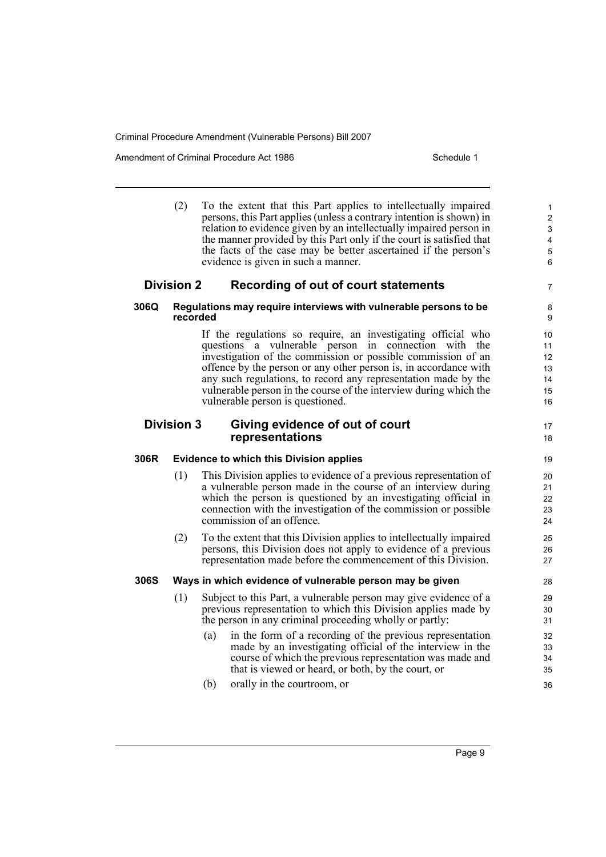Amendment of Criminal Procedure Act 1986 Schedule 1

|                                                                         | (2)               | To the extent that this Part applies to intellectually impaired<br>persons, this Part applies (unless a contrary intention is shown) in<br>relation to evidence given by an intellectually impaired person in<br>the manner provided by this Part only if the court is satisfied that<br>the facts of the case may be better ascertained if the person's<br>evidence is given in such a manner.                                     | $\mathbf{1}$<br>$\overline{2}$<br>3<br>$\overline{\mathbf{4}}$<br>$\sqrt{5}$<br>$\,6$ |
|-------------------------------------------------------------------------|-------------------|-------------------------------------------------------------------------------------------------------------------------------------------------------------------------------------------------------------------------------------------------------------------------------------------------------------------------------------------------------------------------------------------------------------------------------------|---------------------------------------------------------------------------------------|
|                                                                         | <b>Division 2</b> | Recording of out of court statements                                                                                                                                                                                                                                                                                                                                                                                                | $\overline{7}$                                                                        |
| 306Q                                                                    | recorded          | Regulations may require interviews with vulnerable persons to be                                                                                                                                                                                                                                                                                                                                                                    | 8<br>9                                                                                |
|                                                                         |                   | If the regulations so require, an investigating official who<br>questions a vulnerable person in connection with the<br>investigation of the commission or possible commission of an<br>offence by the person or any other person is, in accordance with<br>any such regulations, to record any representation made by the<br>vulnerable person in the course of the interview during which the<br>vulnerable person is questioned. | 10<br>11<br>12<br>13<br>14<br>15<br>16                                                |
| <b>Division 3</b><br>Giving evidence of out of court<br>representations |                   |                                                                                                                                                                                                                                                                                                                                                                                                                                     |                                                                                       |
| 306R                                                                    |                   | <b>Evidence to which this Division applies</b>                                                                                                                                                                                                                                                                                                                                                                                      | 19                                                                                    |
|                                                                         | (1)               | This Division applies to evidence of a previous representation of<br>a vulnerable person made in the course of an interview during<br>which the person is questioned by an investigating official in<br>connection with the investigation of the commission or possible<br>commission of an offence.                                                                                                                                | 20<br>21<br>22<br>23<br>24                                                            |
|                                                                         | (2)               | To the extent that this Division applies to intellectually impaired<br>persons, this Division does not apply to evidence of a previous<br>representation made before the commencement of this Division.                                                                                                                                                                                                                             | 25<br>26<br>27                                                                        |
| <b>306S</b>                                                             |                   | Ways in which evidence of vulnerable person may be given                                                                                                                                                                                                                                                                                                                                                                            | 28                                                                                    |
|                                                                         | (1)               | Subject to this Part, a vulnerable person may give evidence of a<br>previous representation to which this Division applies made by<br>the person in any criminal proceeding wholly or partly:                                                                                                                                                                                                                                       | 29<br>30<br>31                                                                        |
|                                                                         |                   | in the form of a recording of the previous representation<br>(a)<br>made by an investigating official of the interview in the<br>course of which the previous representation was made and<br>that is viewed or heard, or both, by the court, or                                                                                                                                                                                     | 32<br>33<br>34<br>35                                                                  |
|                                                                         |                   | (b)<br>orally in the courtroom, or                                                                                                                                                                                                                                                                                                                                                                                                  | 36                                                                                    |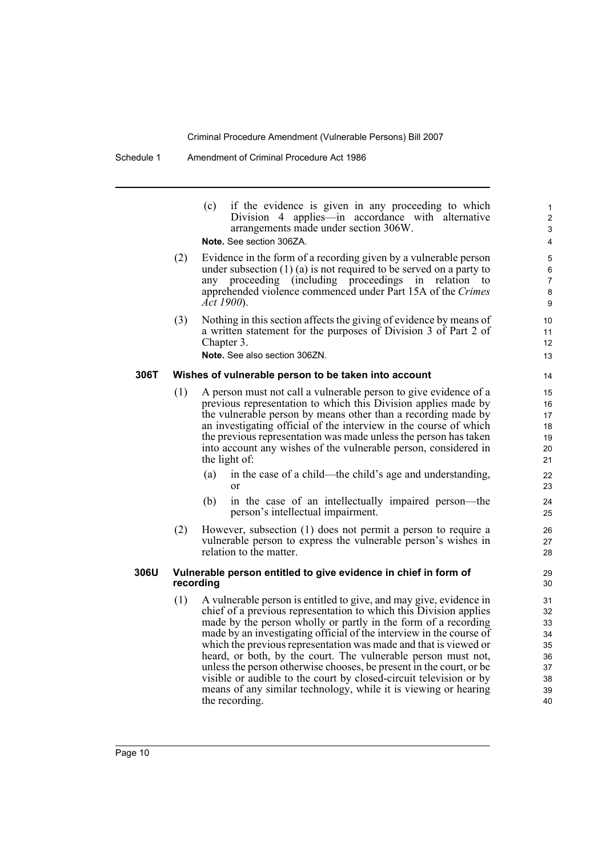|                                       | (c) if the evidence is given in any proceeding to which |
|---------------------------------------|---------------------------------------------------------|
|                                       | Division 4 applies—in accordance with alternative       |
| arrangements made under section 306W. |                                                         |
| <b>Note.</b> See section 306ZA.       |                                                         |

- (2) Evidence in the form of a recording given by a vulnerable person under subsection (1) (a) is not required to be served on a party to any proceeding (including proceedings in relation to apprehended violence commenced under Part 15A of the *Crimes Act 1900*).
- (3) Nothing in this section affects the giving of evidence by means of a written statement for the purposes of Division 3 of Part 2 of Chapter 3.

**Note.** See also section 306ZN.

#### **306T Wishes of vulnerable person to be taken into account**

- (1) A person must not call a vulnerable person to give evidence of a previous representation to which this Division applies made by the vulnerable person by means other than a recording made by an investigating official of the interview in the course of which the previous representation was made unless the person has taken into account any wishes of the vulnerable person, considered in the light of:
	- (a) in the case of a child—the child's age and understanding, or
	- (b) in the case of an intellectually impaired person—the person's intellectual impairment.
- (2) However, subsection (1) does not permit a person to require a vulnerable person to express the vulnerable person's wishes in relation to the matter.

#### **306U Vulnerable person entitled to give evidence in chief in form of recording**

(1) A vulnerable person is entitled to give, and may give, evidence in chief of a previous representation to which this Division applies made by the person wholly or partly in the form of a recording made by an investigating official of the interview in the course of which the previous representation was made and that is viewed or heard, or both, by the court. The vulnerable person must not, unless the person otherwise chooses, be present in the court, or be visible or audible to the court by closed-circuit television or by means of any similar technology, while it is viewing or hearing the recording.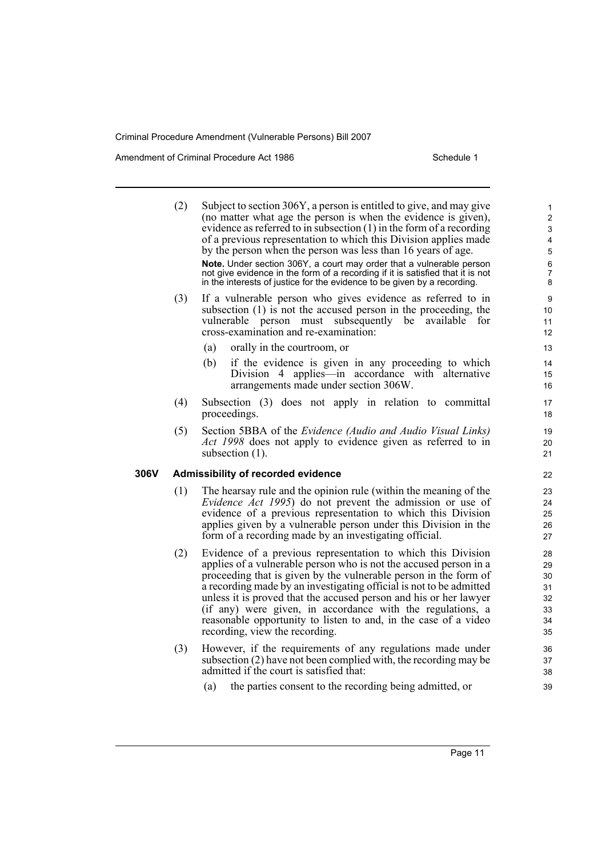Amendment of Criminal Procedure Act 1986 Schedule 1

306V

| (2) | Subject to section 306Y, a person is entitled to give, and may give<br>(no matter what age the person is when the evidence is given),<br>evidence as referred to in subsection $(1)$ in the form of a recording<br>of a previous representation to which this Division applies made<br>by the person when the person was less than 16 years of age.<br>Note. Under section 306Y, a court may order that a vulnerable person<br>not give evidence in the form of a recording if it is satisfied that it is not<br>in the interests of justice for the evidence to be given by a recording. | 1<br>$\overline{c}$<br>3<br>4<br>5<br>6<br>7<br>8 |
|-----|-------------------------------------------------------------------------------------------------------------------------------------------------------------------------------------------------------------------------------------------------------------------------------------------------------------------------------------------------------------------------------------------------------------------------------------------------------------------------------------------------------------------------------------------------------------------------------------------|---------------------------------------------------|
| (3) | If a vulnerable person who gives evidence as referred to in<br>subsection (1) is not the accused person in the proceeding, the<br>vulnerable<br>subsequently<br>be<br>for<br>person must<br>available<br>cross-examination and re-examination:                                                                                                                                                                                                                                                                                                                                            | 9<br>10<br>11<br>12                               |
|     | (a)<br>orally in the courtroom, or<br>if the evidence is given in any proceeding to which<br>(b)<br>Division 4 applies—in accordance with alternative<br>arrangements made under section 306W.                                                                                                                                                                                                                                                                                                                                                                                            | 13<br>14<br>15<br>16                              |
| (4) | Subsection (3) does not apply in relation to committal<br>proceedings.                                                                                                                                                                                                                                                                                                                                                                                                                                                                                                                    | 17<br>18                                          |
| (5) | Section 5BBA of the <i>Evidence (Audio and Audio Visual Links)</i><br>Act 1998 does not apply to evidence given as referred to in<br>subsection $(1)$ .                                                                                                                                                                                                                                                                                                                                                                                                                                   | 19<br>20<br>21                                    |
|     | Admissibility of recorded evidence                                                                                                                                                                                                                                                                                                                                                                                                                                                                                                                                                        | 22                                                |
| (1) | The hearsay rule and the opinion rule (within the meaning of the<br><i>Evidence Act 1995</i> ) do not prevent the admission or use of<br>evidence of a previous representation to which this Division<br>applies given by a vulnerable person under this Division in the<br>form of a recording made by an investigating official.                                                                                                                                                                                                                                                        | 23<br>24<br>25<br>26<br>27                        |
| (2) | Evidence of a previous representation to which this Division<br>applies of a vulnerable person who is not the accused person in a<br>proceeding that is given by the vulnerable person in the form of<br>a recording made by an investigating official is not to be admitted<br>unless it is proved that the accused person and his or her lawyer<br>(if any) were given, in accordance with the regulations, a<br>reasonable opportunity to listen to and, in the case of a video<br>recording, view the recording.                                                                      | 28<br>29<br>30<br>31<br>32<br>33<br>34<br>35      |
| (3) | However, if the requirements of any regulations made under<br>subsection (2) have not been complied with, the recording may be<br>admitted if the court is satisfied that:                                                                                                                                                                                                                                                                                                                                                                                                                | 36<br>37<br>38                                    |
|     | (a)<br>the parties consent to the recording being admitted, or                                                                                                                                                                                                                                                                                                                                                                                                                                                                                                                            | 39                                                |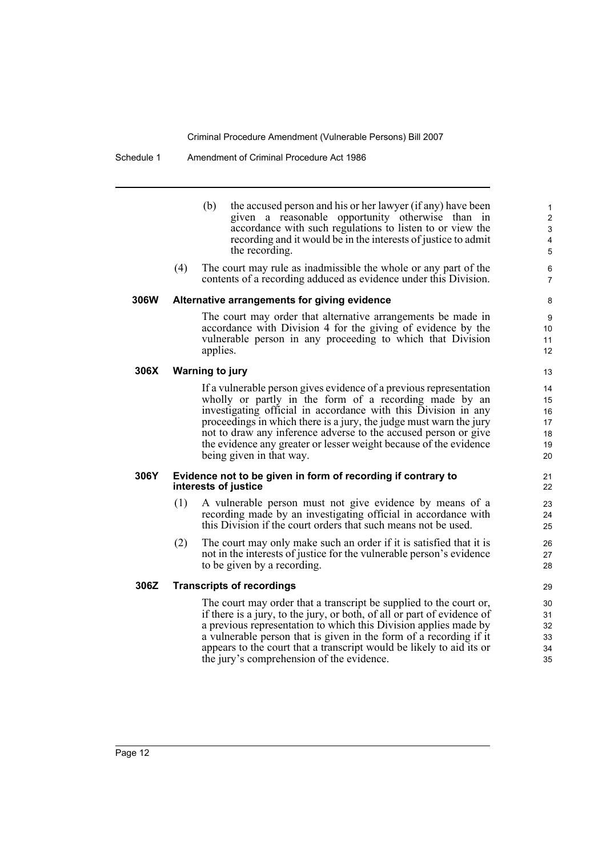#### Schedule 1 Amendment of Criminal Procedure Act 1986

- (b) the accused person and his or her lawyer (if any) have been given a reasonable opportunity otherwise than in accordance with such regulations to listen to or view the recording and it would be in the interests of justice to admit the recording.
- (4) The court may rule as inadmissible the whole or any part of the contents of a recording adduced as evidence under this Division.

#### **306W Alternative arrangements for giving evidence**

The court may order that alternative arrangements be made in accordance with Division 4 for the giving of evidence by the vulnerable person in any proceeding to which that Division applies.

#### **306X Warning to jury**

If a vulnerable person gives evidence of a previous representation wholly or partly in the form of a recording made by an investigating official in accordance with this Division in any proceedings in which there is a jury, the judge must warn the jury not to draw any inference adverse to the accused person or give the evidence any greater or lesser weight because of the evidence being given in that way.

#### **306Y Evidence not to be given in form of recording if contrary to interests of justice**

- (1) A vulnerable person must not give evidence by means of a recording made by an investigating official in accordance with this Division if the court orders that such means not be used.
- (2) The court may only make such an order if it is satisfied that it is not in the interests of justice for the vulnerable person's evidence to be given by a recording.

#### **306Z Transcripts of recordings**

The court may order that a transcript be supplied to the court or, if there is a jury, to the jury, or both, of all or part of evidence of a previous representation to which this Division applies made by a vulnerable person that is given in the form of a recording if it appears to the court that a transcript would be likely to aid its or the jury's comprehension of the evidence.

12 13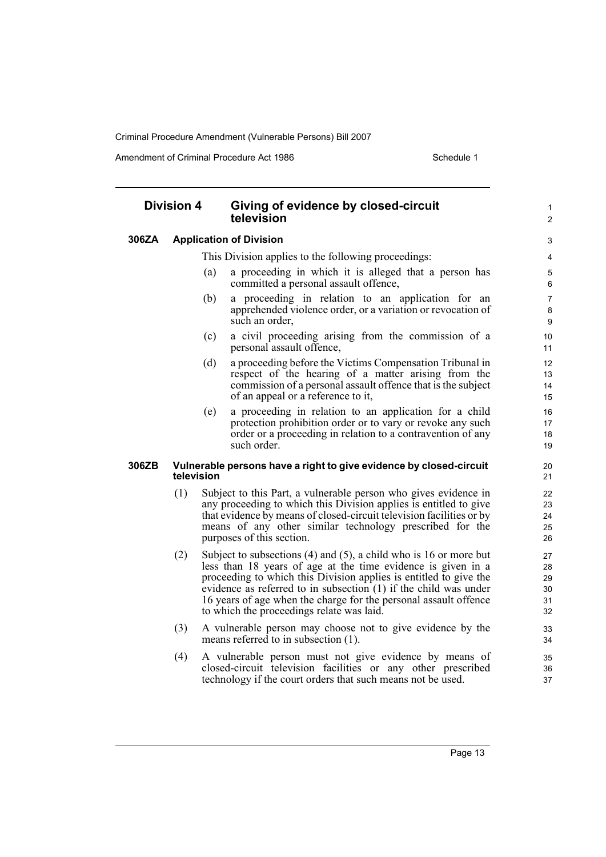Amendment of Criminal Procedure Act 1986 Schedule 1

#### **Division 4 Giving of evidence by closed-circuit television 306ZA Application of Division** This Division applies to the following proceedings: (a) a proceeding in which it is alleged that a person has committed a personal assault offence, (b) a proceeding in relation to an application for an apprehended violence order, or a variation or revocation of such an order, (c) a civil proceeding arising from the commission of a personal assault offence, (d) a proceeding before the Victims Compensation Tribunal in respect of the hearing of a matter arising from the commission of a personal assault offence that is the subject of an appeal or a reference to it, (e) a proceeding in relation to an application for a child protection prohibition order or to vary or revoke any such order or a proceeding in relation to a contravention of any such order. **306ZB Vulnerable persons have a right to give evidence by closed-circuit television** (1) Subject to this Part, a vulnerable person who gives evidence in any proceeding to which this Division applies is entitled to give that evidence by means of closed-circuit television facilities or by means of any other similar technology prescribed for the purposes of this section. (2) Subject to subsections (4) and (5), a child who is 16 or more but less than 18 years of age at the time evidence is given in a proceeding to which this Division applies is entitled to give the evidence as referred to in subsection  $(1)$  if the child was under 16 years of age when the charge for the personal assault offence to which the proceedings relate was laid. (3) A vulnerable person may choose not to give evidence by the means referred to in subsection (1). (4) A vulnerable person must not give evidence by means of closed-circuit television facilities or any other prescribed technology if the court orders that such means not be used. 1  $\overline{2}$ 3 4 5 6 7 8  $\Omega$ 10 11 12 13 14 15 16 17 18 19 20 21 22 23 24 25 26 27  $28$ 29 30 31 32 33 34 35 36 37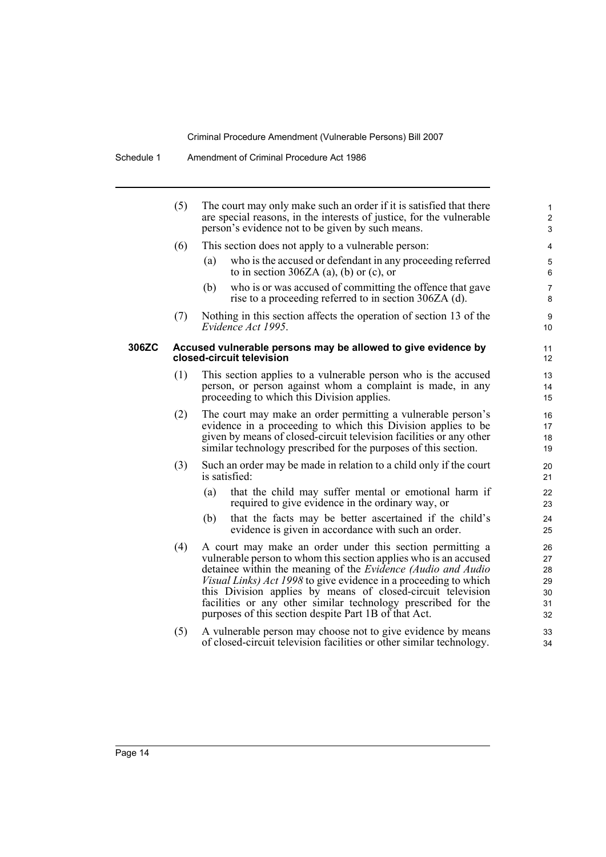|       | (5) | The court may only make such an order if it is satisfied that there<br>are special reasons, in the interests of justice, for the vulnerable<br>person's evidence not to be given by such means.                                                                                                                                                                                                                                                                   | $\mathbf{1}$<br>$\overline{2}$<br>3    |
|-------|-----|-------------------------------------------------------------------------------------------------------------------------------------------------------------------------------------------------------------------------------------------------------------------------------------------------------------------------------------------------------------------------------------------------------------------------------------------------------------------|----------------------------------------|
|       | (6) | This section does not apply to a vulnerable person:                                                                                                                                                                                                                                                                                                                                                                                                               | 4                                      |
|       |     | who is the accused or defendant in any proceeding referred<br>(a)<br>to in section 306ZA (a), (b) or (c), or                                                                                                                                                                                                                                                                                                                                                      | 5<br>6                                 |
|       |     | who is or was accused of committing the offence that gave<br>(b)<br>rise to a proceeding referred to in section 306ZA (d).                                                                                                                                                                                                                                                                                                                                        | $\overline{7}$<br>8                    |
|       | (7) | Nothing in this section affects the operation of section 13 of the<br>Evidence Act 1995.                                                                                                                                                                                                                                                                                                                                                                          | 9<br>10                                |
| 306ZC |     | Accused vulnerable persons may be allowed to give evidence by<br>closed-circuit television                                                                                                                                                                                                                                                                                                                                                                        | 11<br>12                               |
|       | (1) | This section applies to a vulnerable person who is the accused<br>person, or person against whom a complaint is made, in any<br>proceeding to which this Division applies.                                                                                                                                                                                                                                                                                        | 13<br>14<br>15                         |
|       | (2) | The court may make an order permitting a vulnerable person's<br>evidence in a proceeding to which this Division applies to be<br>given by means of closed-circuit television facilities or any other<br>similar technology prescribed for the purposes of this section.                                                                                                                                                                                           | 16<br>17<br>18<br>19                   |
|       | (3) | Such an order may be made in relation to a child only if the court<br>is satisfied:                                                                                                                                                                                                                                                                                                                                                                               | 20<br>21                               |
|       |     | that the child may suffer mental or emotional harm if<br>(a)<br>required to give evidence in the ordinary way, or                                                                                                                                                                                                                                                                                                                                                 | 22<br>23                               |
|       |     | that the facts may be better ascertained if the child's<br>(b)<br>evidence is given in accordance with such an order.                                                                                                                                                                                                                                                                                                                                             | 24<br>25                               |
|       | (4) | A court may make an order under this section permitting a<br>vulnerable person to whom this section applies who is an accused<br>detainee within the meaning of the <i>Evidence (Audio and Audio</i><br>Visual Links) Act 1998 to give evidence in a proceeding to which<br>this Division applies by means of closed-circuit television<br>facilities or any other similar technology prescribed for the<br>purposes of this section despite Part 1B of that Act. | 26<br>27<br>28<br>29<br>30<br>31<br>32 |
|       | (5) | A vulnerable person may choose not to give evidence by means<br>of closed-circuit television facilities or other similar technology.                                                                                                                                                                                                                                                                                                                              | 33<br>34                               |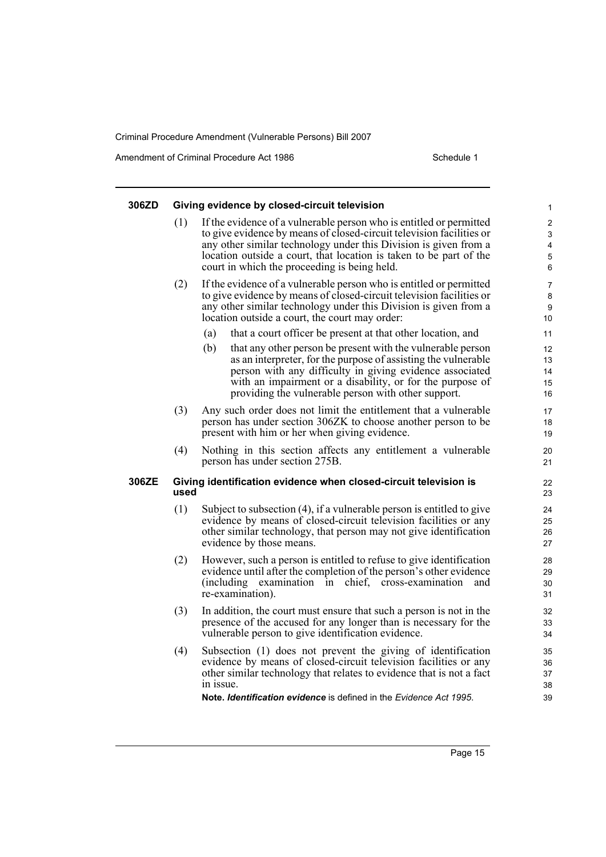Amendment of Criminal Procedure Act 1986 Schedule 1

| 306ZD |      | Giving evidence by closed-circuit television                                                                                                                                                                                                                                                                                          | 1                                           |
|-------|------|---------------------------------------------------------------------------------------------------------------------------------------------------------------------------------------------------------------------------------------------------------------------------------------------------------------------------------------|---------------------------------------------|
|       | (1)  | If the evidence of a vulnerable person who is entitled or permitted<br>to give evidence by means of closed-circuit television facilities or<br>any other similar technology under this Division is given from a<br>location outside a court, that location is taken to be part of the<br>court in which the proceeding is being held. | $\overline{\mathbf{c}}$<br>3<br>4<br>5<br>6 |
|       | (2)  | If the evidence of a vulnerable person who is entitled or permitted<br>to give evidence by means of closed-circuit television facilities or<br>any other similar technology under this Division is given from a<br>location outside a court, the court may order:                                                                     | 7<br>8<br>9<br>10                           |
|       |      | (a)<br>that a court officer be present at that other location, and                                                                                                                                                                                                                                                                    | 11                                          |
|       |      | (b)<br>that any other person be present with the vulnerable person<br>as an interpreter, for the purpose of assisting the vulnerable<br>person with any difficulty in giving evidence associated<br>with an impairment or a disability, or for the purpose of<br>providing the vulnerable person with other support.                  | 12<br>13<br>14<br>15<br>16                  |
|       | (3)  | Any such order does not limit the entitlement that a vulnerable<br>person has under section 306ZK to choose another person to be<br>present with him or her when giving evidence.                                                                                                                                                     | 17<br>18<br>19                              |
|       | (4)  | Nothing in this section affects any entitlement a vulnerable<br>person has under section 275B.                                                                                                                                                                                                                                        | 20<br>21                                    |
| 306ZE | used | Giving identification evidence when closed-circuit television is                                                                                                                                                                                                                                                                      | 22<br>23                                    |
|       | (1)  | Subject to subsection (4), if a vulnerable person is entitled to give<br>evidence by means of closed-circuit television facilities or any<br>other similar technology, that person may not give identification<br>evidence by those means.                                                                                            | 24<br>25<br>26<br>27                        |
|       | (2)  | However, such a person is entitled to refuse to give identification<br>evidence until after the completion of the person's other evidence<br>(including)<br>chief, cross-examination<br>examination in<br>and<br>re-examination).                                                                                                     | 28<br>29<br>30<br>31                        |
|       | (3)  | In addition, the court must ensure that such a person is not in the<br>presence of the accused for any longer than is necessary for the<br>vulnerable person to give identification evidence.                                                                                                                                         | 32<br>33<br>34                              |
|       | (4)  | Subsection (1) does not prevent the giving of identification<br>evidence by means of closed-circuit television facilities or any<br>other similar technology that relates to evidence that is not a fact<br>in issue.                                                                                                                 | 35<br>36<br>37<br>38                        |
|       |      | <b>Note, Identification evidence</b> is defined in the <i>Evidence Act 1995</i> .                                                                                                                                                                                                                                                     | 39                                          |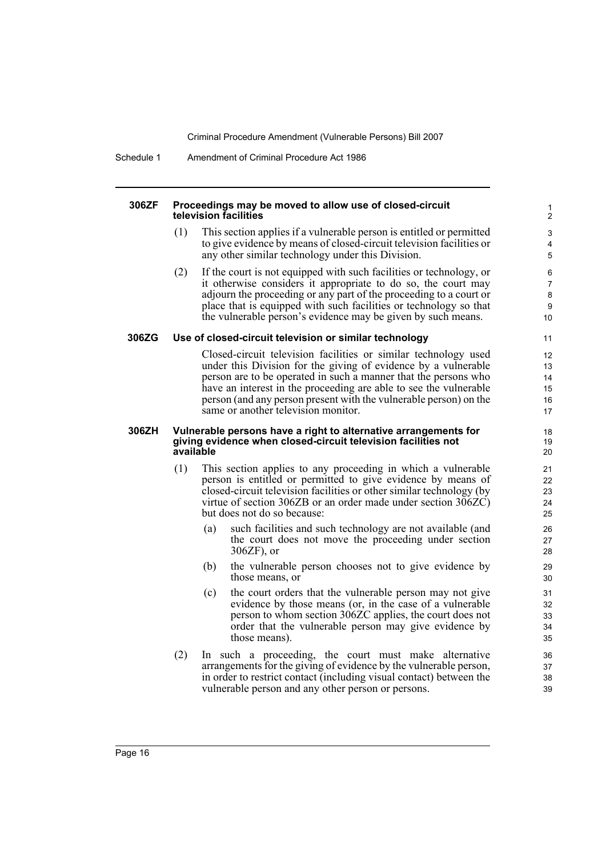Schedule 1 Amendment of Criminal Procedure Act 1986

#### **306ZF Proceedings may be moved to allow use of closed-circuit television facilities**

(1) This section applies if a vulnerable person is entitled or permitted to give evidence by means of closed-circuit television facilities or any other similar technology under this Division.

(2) If the court is not equipped with such facilities or technology, or it otherwise considers it appropriate to do so, the court may adjourn the proceeding or any part of the proceeding to a court or place that is equipped with such facilities or technology so that the vulnerable person's evidence may be given by such means.

#### **306ZG Use of closed-circuit television or similar technology**

Closed-circuit television facilities or similar technology used under this Division for the giving of evidence by a vulnerable person are to be operated in such a manner that the persons who have an interest in the proceeding are able to see the vulnerable person (and any person present with the vulnerable person) on the same or another television monitor.

#### **306ZH Vulnerable persons have a right to alternative arrangements for giving evidence when closed-circuit television facilities not available**

- (1) This section applies to any proceeding in which a vulnerable person is entitled or permitted to give evidence by means of closed-circuit television facilities or other similar technology (by virtue of section 306ZB or an order made under section 306ZC) but does not do so because:
	- (a) such facilities and such technology are not available (and the court does not move the proceeding under section 306ZF), or
	- (b) the vulnerable person chooses not to give evidence by those means, or
	- (c) the court orders that the vulnerable person may not give evidence by those means (or, in the case of a vulnerable person to whom section 306ZC applies, the court does not order that the vulnerable person may give evidence by those means).
- (2) In such a proceeding, the court must make alternative arrangements for the giving of evidence by the vulnerable person, in order to restrict contact (including visual contact) between the vulnerable person and any other person or persons.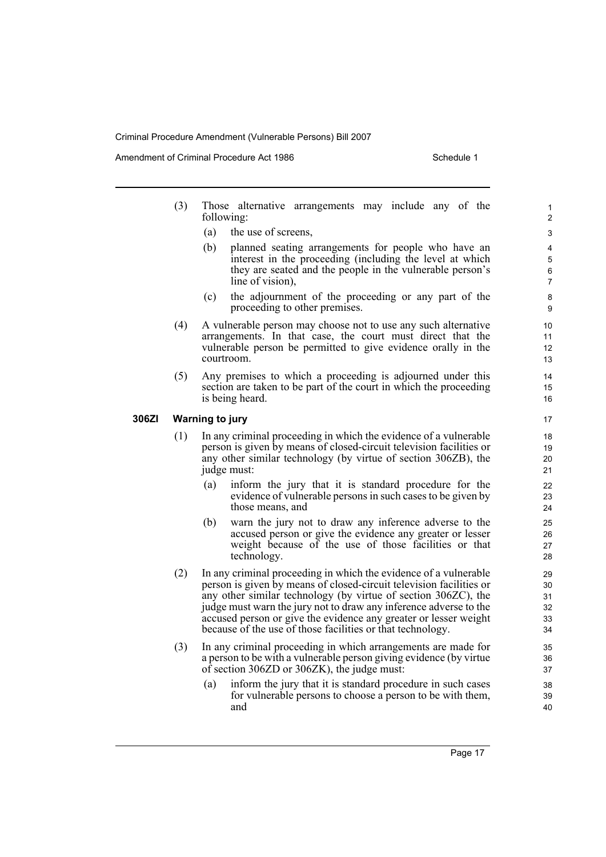Amendment of Criminal Procedure Act 1986 Schedule 1

- (3) Those alternative arrangements may include any of the following:
	- (a) the use of screens,
	- (b) planned seating arrangements for people who have an interest in the proceeding (including the level at which they are seated and the people in the vulnerable person's line of vision),
	- (c) the adjournment of the proceeding or any part of the proceeding to other premises.
- (4) A vulnerable person may choose not to use any such alternative arrangements. In that case, the court must direct that the vulnerable person be permitted to give evidence orally in the courtroom.
- (5) Any premises to which a proceeding is adjourned under this section are taken to be part of the court in which the proceeding is being heard.

#### **306ZI Warning to jury**

- (1) In any criminal proceeding in which the evidence of a vulnerable person is given by means of closed-circuit television facilities or any other similar technology (by virtue of section 306ZB), the judge must:
	- (a) inform the jury that it is standard procedure for the evidence of vulnerable persons in such cases to be given by those means, and
	- (b) warn the jury not to draw any inference adverse to the accused person or give the evidence any greater or lesser weight because of the use of those facilities or that technology.
- (2) In any criminal proceeding in which the evidence of a vulnerable person is given by means of closed-circuit television facilities or any other similar technology (by virtue of section 306ZC), the judge must warn the jury not to draw any inference adverse to the accused person or give the evidence any greater or lesser weight because of the use of those facilities or that technology.
- (3) In any criminal proceeding in which arrangements are made for a person to be with a vulnerable person giving evidence (by virtue of section 306ZD or 306ZK), the judge must:
	- (a) inform the jury that it is standard procedure in such cases for vulnerable persons to choose a person to be with them, and

Page 17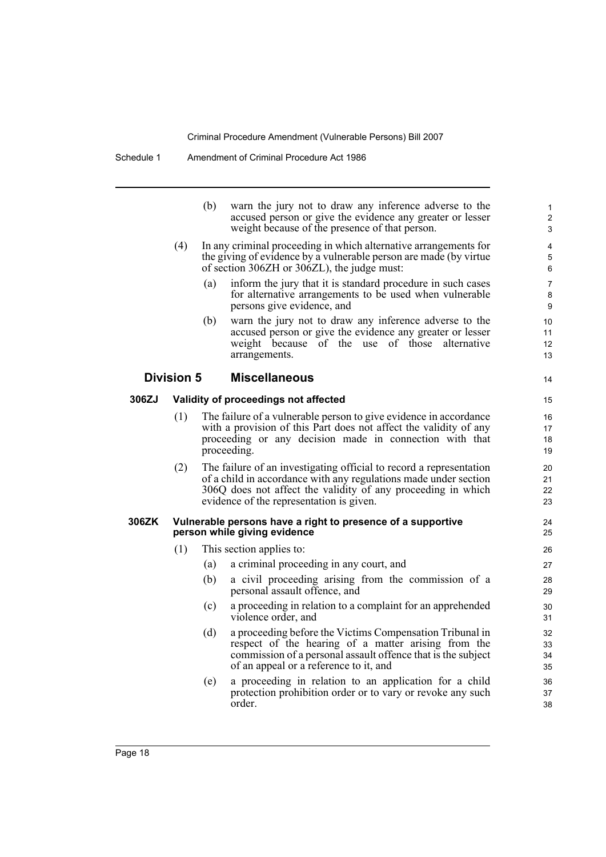|       |                   | (b) | warn the jury not to draw any inference adverse to the<br>accused person or give the evidence any greater or lesser<br>weight because of the presence of that person.                                                                               | 1<br>$\overline{2}$<br>3 |
|-------|-------------------|-----|-----------------------------------------------------------------------------------------------------------------------------------------------------------------------------------------------------------------------------------------------------|--------------------------|
|       | (4)               |     | In any criminal proceeding in which alternative arrangements for<br>the giving of evidence by a vulnerable person are made (by virtue<br>of section 306ZH or 306ZL), the judge must:                                                                | 4<br>5<br>6              |
|       |                   | (a) | inform the jury that it is standard procedure in such cases<br>for alternative arrangements to be used when vulnerable<br>persons give evidence, and                                                                                                | $\overline{7}$<br>8<br>9 |
|       |                   | (b) | warn the jury not to draw any inference adverse to the<br>accused person or give the evidence any greater or lesser<br>weight because of the use of those alternative<br>arrangements.                                                              | 10<br>11<br>12<br>13     |
|       | <b>Division 5</b> |     | <b>Miscellaneous</b>                                                                                                                                                                                                                                | 14                       |
| 306ZJ |                   |     | Validity of proceedings not affected                                                                                                                                                                                                                | 15                       |
|       | (1)               |     | The failure of a vulnerable person to give evidence in accordance<br>with a provision of this Part does not affect the validity of any<br>proceeding or any decision made in connection with that<br>proceeding.                                    | 16<br>17<br>18<br>19     |
|       | (2)               |     | The failure of an investigating official to record a representation<br>of a child in accordance with any regulations made under section<br>306Q does not affect the validity of any proceeding in which<br>evidence of the representation is given. | 20<br>21<br>22<br>23     |
| 306ZK |                   |     | Vulnerable persons have a right to presence of a supportive<br>person while giving evidence                                                                                                                                                         | 24<br>25                 |
|       | (1)               |     | This section applies to:                                                                                                                                                                                                                            | 26                       |
|       |                   | (a) | a criminal proceeding in any court, and                                                                                                                                                                                                             | 27                       |
|       |                   | (b) | a civil proceeding arising from the commission of a<br>personal assault offence, and                                                                                                                                                                | 28<br>29                 |
|       |                   | (c) | a proceeding in relation to a complaint for an apprehended<br>violence order, and                                                                                                                                                                   | 30<br>31                 |
|       |                   | (d) | a proceeding before the Victims Compensation Tribunal in<br>respect of the hearing of a matter arising from the<br>commission of a personal assault offence that is the subject<br>of an appeal or a reference to it, and                           | 32<br>33<br>34<br>35     |
|       |                   | (e) | a proceeding in relation to an application for a child<br>protection prohibition order or to vary or revoke any such<br>order.                                                                                                                      | 36<br>37<br>38           |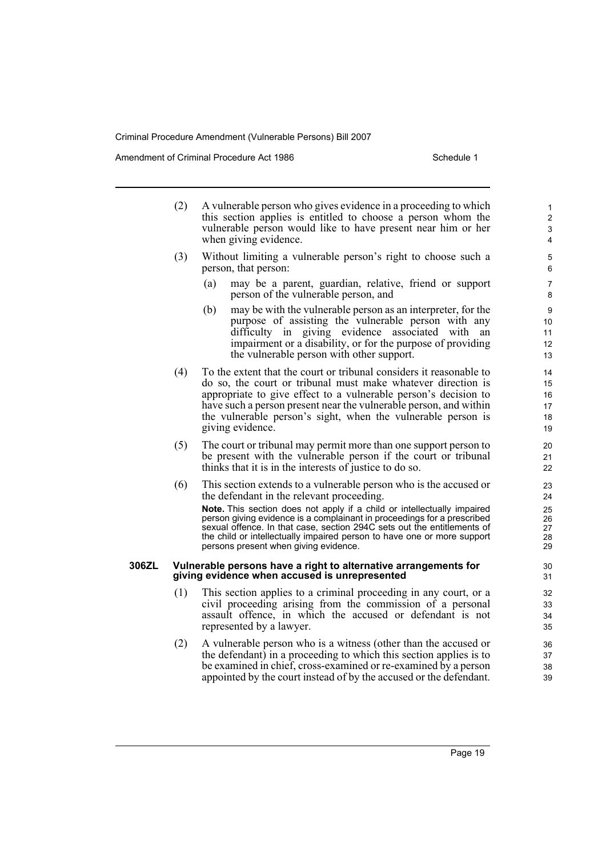Amendment of Criminal Procedure Act 1986 Schedule 1

- (2) A vulnerable person who gives evidence in a proceeding to which this section applies is entitled to choose a person whom the vulnerable person would like to have present near him or her when giving evidence. (3) Without limiting a vulnerable person's right to choose such a person, that person:
	- (a) may be a parent, guardian, relative, friend or support person of the vulnerable person, and
	- (b) may be with the vulnerable person as an interpreter, for the purpose of assisting the vulnerable person with any difficulty in giving evidence associated with an impairment or a disability, or for the purpose of providing the vulnerable person with other support.
- (4) To the extent that the court or tribunal considers it reasonable to do so, the court or tribunal must make whatever direction is appropriate to give effect to a vulnerable person's decision to have such a person present near the vulnerable person, and within the vulnerable person's sight, when the vulnerable person is giving evidence.
- (5) The court or tribunal may permit more than one support person to be present with the vulnerable person if the court or tribunal thinks that it is in the interests of justice to do so.
- (6) This section extends to a vulnerable person who is the accused or the defendant in the relevant proceeding.

**Note.** This section does not apply if a child or intellectually impaired person giving evidence is a complainant in proceedings for a prescribed sexual offence. In that case, section 294C sets out the entitlements of the child or intellectually impaired person to have one or more support persons present when giving evidence.

#### **306ZL Vulnerable persons have a right to alternative arrangements for giving evidence when accused is unrepresented**

- (1) This section applies to a criminal proceeding in any court, or a civil proceeding arising from the commission of a personal assault offence, in which the accused or defendant is not represented by a lawyer.
- (2) A vulnerable person who is a witness (other than the accused or the defendant) in a proceeding to which this section applies is to be examined in chief, cross-examined or re-examined by a person appointed by the court instead of by the accused or the defendant.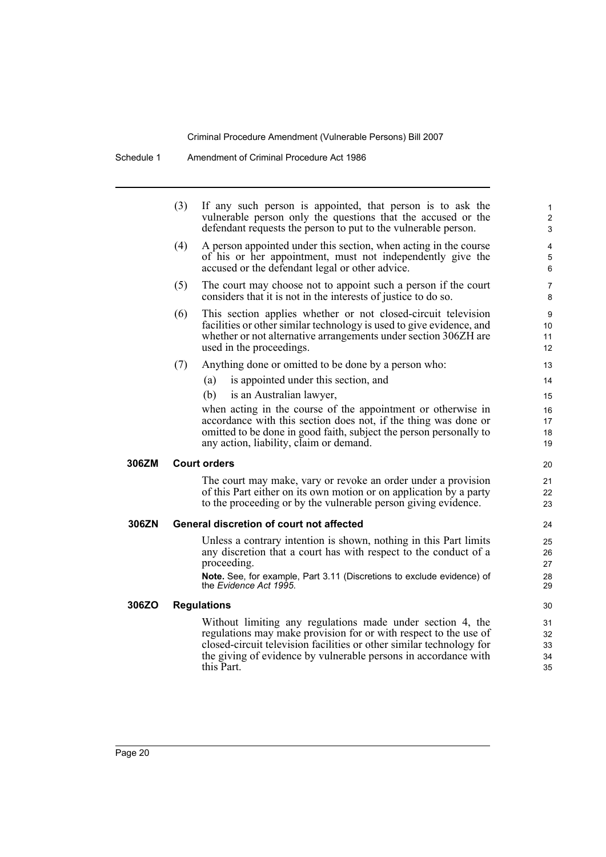Schedule 1 Amendment of Criminal Procedure Act 1986

|       | (3) | If any such person is appointed, that person is to ask the<br>vulnerable person only the questions that the accused or the<br>defendant requests the person to put to the vulnerable person.                                                                                            | $\mathbf{1}$<br>2<br>3     |
|-------|-----|-----------------------------------------------------------------------------------------------------------------------------------------------------------------------------------------------------------------------------------------------------------------------------------------|----------------------------|
|       | (4) | A person appointed under this section, when acting in the course<br>of his or her appointment, must not independently give the<br>accused or the defendant legal or other advice.                                                                                                       | $\overline{4}$<br>5<br>6   |
|       | (5) | The court may choose not to appoint such a person if the court<br>considers that it is not in the interests of justice to do so.                                                                                                                                                        | $\overline{7}$<br>8        |
|       | (6) | This section applies whether or not closed-circuit television<br>facilities or other similar technology is used to give evidence, and<br>whether or not alternative arrangements under section 306ZH are<br>used in the proceedings.                                                    | 9<br>10<br>11<br>12        |
|       | (7) | Anything done or omitted to be done by a person who:                                                                                                                                                                                                                                    | 13                         |
|       |     | is appointed under this section, and<br>(a)                                                                                                                                                                                                                                             | 14                         |
|       |     | (b)<br>is an Australian lawyer,                                                                                                                                                                                                                                                         | 15                         |
|       |     | when acting in the course of the appointment or otherwise in                                                                                                                                                                                                                            | 16                         |
|       |     | accordance with this section does not, if the thing was done or                                                                                                                                                                                                                         | 17                         |
|       |     | omitted to be done in good faith, subject the person personally to<br>any action, liability, claim or demand.                                                                                                                                                                           | 18<br>19                   |
| 306ZM |     | <b>Court orders</b>                                                                                                                                                                                                                                                                     | 20                         |
|       |     | The court may make, vary or revoke an order under a provision<br>of this Part either on its own motion or on application by a party<br>to the proceeding or by the vulnerable person giving evidence.                                                                                   | 21<br>22<br>23             |
| 306ZN |     | General discretion of court not affected                                                                                                                                                                                                                                                | 24                         |
|       |     | Unless a contrary intention is shown, nothing in this Part limits<br>any discretion that a court has with respect to the conduct of a<br>proceeding.<br>Note. See, for example, Part 3.11 (Discretions to exclude evidence) of<br>the Evidence Act 1995.                                | 25<br>26<br>27<br>28<br>29 |
| 306ZO |     | <b>Regulations</b>                                                                                                                                                                                                                                                                      | 30                         |
|       |     | Without limiting any regulations made under section 4, the<br>regulations may make provision for or with respect to the use of<br>closed-circuit television facilities or other similar technology for<br>the giving of evidence by vulnerable persons in accordance with<br>this Part. | 31<br>32<br>33<br>34<br>35 |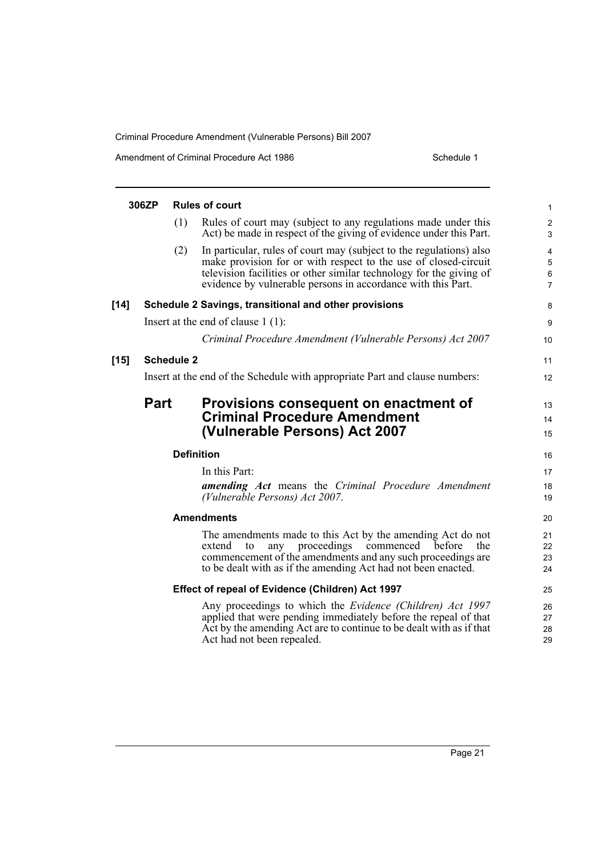Amendment of Criminal Procedure Act 1986 Schedule 1

|        | 306ZP       |                   | <b>Rules of court</b>                                                                                                                                                                                                                                                         | 1                             |
|--------|-------------|-------------------|-------------------------------------------------------------------------------------------------------------------------------------------------------------------------------------------------------------------------------------------------------------------------------|-------------------------------|
|        |             | (1)               | Rules of court may (subject to any regulations made under this<br>Act) be made in respect of the giving of evidence under this Part.                                                                                                                                          | $\overline{\mathbf{c}}$<br>3  |
|        |             | (2)               | In particular, rules of court may (subject to the regulations) also<br>make provision for or with respect to the use of closed-circuit<br>television facilities or other similar technology for the giving of<br>evidence by vulnerable persons in accordance with this Part. | 4<br>5<br>6<br>$\overline{7}$ |
| $[14]$ |             |                   | Schedule 2 Savings, transitional and other provisions                                                                                                                                                                                                                         | 8                             |
|        |             |                   | Insert at the end of clause $1(1)$ :                                                                                                                                                                                                                                          | 9                             |
|        |             |                   | Criminal Procedure Amendment (Vulnerable Persons) Act 2007                                                                                                                                                                                                                    | 10                            |
| $[15]$ |             | <b>Schedule 2</b> |                                                                                                                                                                                                                                                                               | 11                            |
|        |             |                   | Insert at the end of the Schedule with appropriate Part and clause numbers:                                                                                                                                                                                                   | 12                            |
|        | <b>Part</b> |                   | Provisions consequent on enactment of<br><b>Criminal Procedure Amendment</b><br>(Vulnerable Persons) Act 2007                                                                                                                                                                 | 13<br>14<br>15                |
|        |             | <b>Definition</b> |                                                                                                                                                                                                                                                                               | 16                            |
|        |             |                   | In this Part:<br><b>amending Act</b> means the Criminal Procedure Amendment<br>(Vulnerable Persons) Act 2007.                                                                                                                                                                 | 17<br>18<br>19                |
|        |             |                   | <b>Amendments</b>                                                                                                                                                                                                                                                             | 20                            |
|        |             |                   | The amendments made to this Act by the amending Act do not<br>any proceedings commenced<br>before<br>extend<br>the<br>to<br>commencement of the amendments and any such proceedings are<br>to be dealt with as if the amending Act had not been enacted.                      | 21<br>22<br>23<br>24          |
|        |             |                   | Effect of repeal of Evidence (Children) Act 1997                                                                                                                                                                                                                              | 25                            |
|        |             |                   | Any proceedings to which the <i>Evidence (Children) Act 1997</i><br>applied that were pending immediately before the repeal of that<br>Act by the amending Act are to continue to be dealt with as if that<br>Act had not been repealed.                                      | 26<br>27<br>28<br>29          |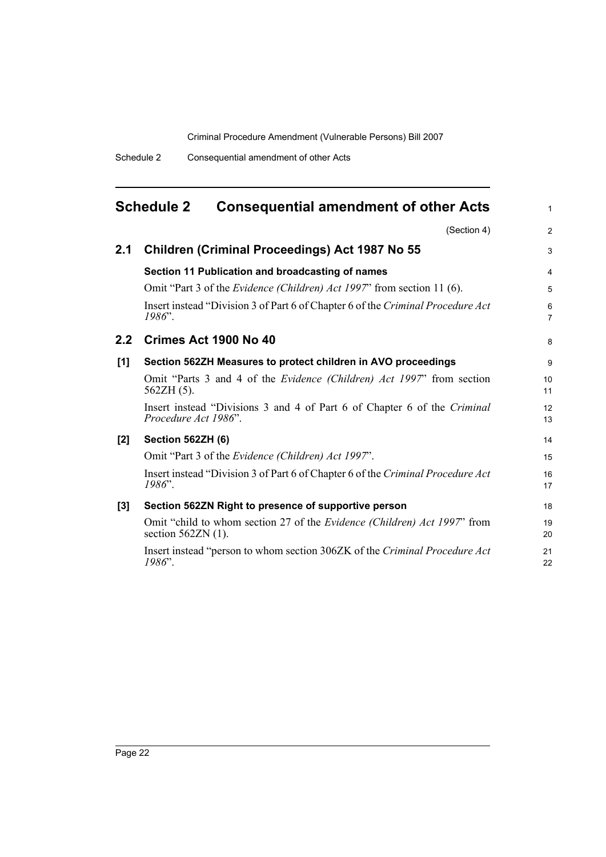<span id="page-27-0"></span>

|               | <b>Schedule 2</b><br><b>Consequential amendment of other Acts</b>                                | 1              |
|---------------|--------------------------------------------------------------------------------------------------|----------------|
|               | (Section 4)                                                                                      | $\overline{c}$ |
| 2.1           | <b>Children (Criminal Proceedings) Act 1987 No 55</b>                                            | 3              |
|               | Section 11 Publication and broadcasting of names                                                 | 4              |
|               | Omit "Part 3 of the <i>Evidence (Children) Act 1997</i> " from section 11 (6).                   | 5              |
|               | Insert instead "Division 3 of Part 6 of Chapter 6 of the Criminal Procedure Act<br>$1986$ ".     | 6<br>7         |
| $2.2^{\circ}$ | Crimes Act 1900 No 40                                                                            | 8              |
| [1]           | Section 562ZH Measures to protect children in AVO proceedings                                    | 9              |
|               | Omit "Parts 3 and 4 of the <i>Evidence (Children) Act 1997</i> " from section<br>$562ZH(5)$ .    | 10<br>11       |
|               | Insert instead "Divisions 3 and 4 of Part 6 of Chapter 6 of the Criminal<br>Procedure Act 1986". | 12<br>13       |
| $[2]$         | Section 562ZH (6)                                                                                | 14             |
|               | Omit "Part 3 of the <i>Evidence (Children) Act 1997</i> ".                                       | 15             |
|               | Insert instead "Division 3 of Part 6 of Chapter 6 of the Criminal Procedure Act<br>$1986$ ".     | 16<br>17       |
| $[3]$         | Section 562ZN Right to presence of supportive person                                             | 18             |
|               | Omit "child to whom section 27 of the Evidence (Children) Act 1997" from<br>section $562ZN(1)$ . | 19<br>20       |
|               | Insert instead "person to whom section 306ZK of the Criminal Procedure Act<br>1986".             | 21<br>22       |